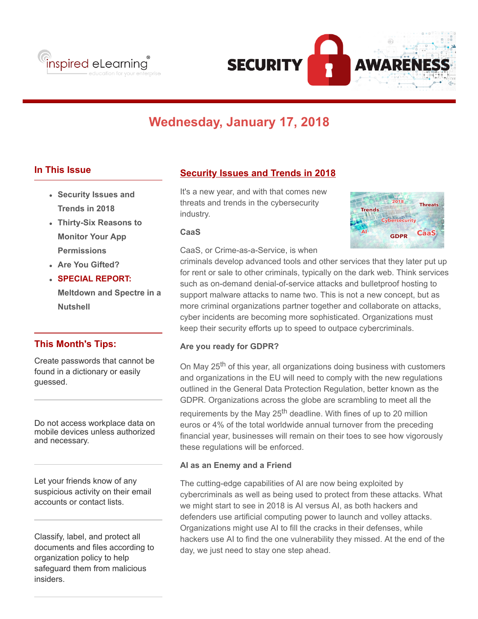



# **Wednesday, January 17, 2018**

# **In This Issue**

- **Security Issues and Trends in 2018**
- **Thirty-Six Reasons to Monitor Your App Permissions**
- **Are You Gifted?**
- **SPECIAL REPORT: Meltdown and Spectre in a Nutshell**

## **This Month's Tips:**

Create passwords that cannot be found in a dictionary or easily guessed.

Do not access workplace data on mobile devices unless authorized and necessary.

Let your friends know of any suspicious activity on their email accounts or contact lists.

Classify, label, and protect all documents and files according to organization policy to help safeguard them from malicious insiders.

# **Security Issues and Trends in 2018**

It's a new year, and with that comes new threats and trends in the cybersecurity industry.

### **CaaS**

CaaS, or Crime-as-a-Service, is when



criminals develop advanced tools and other services that they later put up for rent or sale to other criminals, typically on the dark web. Think services such as on-demand denial-of-service attacks and bulletproof hosting to support malware attacks to name two. This is not a new concept, but as more criminal organizations partner together and collaborate on attacks, cyber incidents are becoming more sophisticated. Organizations must keep their security efforts up to speed to outpace cybercriminals.

## **Are you ready for GDPR?**

On May 25<sup>th</sup> of this year, all organizations doing business with customers and organizations in the EU will need to comply with the new regulations outlined in the General Data Protection Regulation, better known as the GDPR. Organizations across the globe are scrambling to meet all the requirements by the May 25<sup>th</sup> deadline. With fines of up to 20 million euros or 4% of the total worldwide annual turnover from the preceding financial year, businesses will remain on their toes to see how vigorously these regulations will be enforced.

## **AI as an Enemy and a Friend**

The cutting-edge capabilities of AI are now being exploited by cybercriminals as well as being used to protect from these attacks. What we might start to see in 2018 is AI versus AI, as both hackers and defenders use artificial computing power to launch and volley attacks. Organizations might use AI to fill the cracks in their defenses, while hackers use AI to find the one vulnerability they missed. At the end of the day, we just need to stay one step ahead.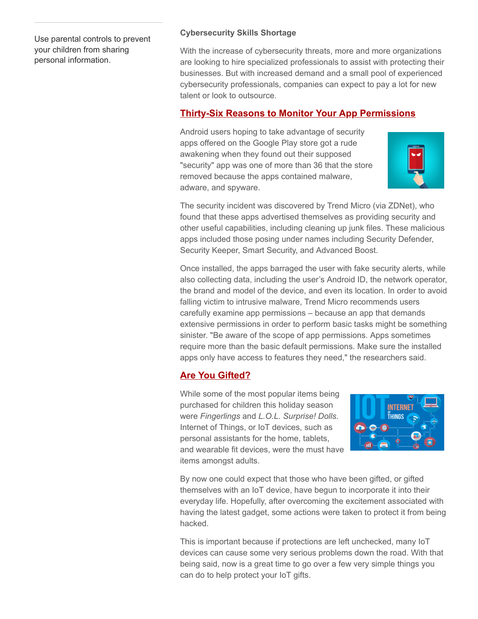Use parental controls to prevent your children from sharing personal information.

## **Cybersecurity Skills Shortage**

With the increase of cybersecurity threats, more and more organizations are looking to hire specialized professionals to assist with protecting their businesses. But with increased demand and a small pool of experienced cybersecurity professionals, companies can expect to pay a lot for new talent or look to outsource.

# **Thirty-Six Reasons to Monitor Your App Permissions**

Android users hoping to take advantage of security apps offered on the Google Play store got a rude awakening when they found out their supposed "security" app was one of more than 36 that the store removed because the apps contained malware, adware, and spyware.



The security incident was discovered by Trend Micro (via ZDNet), who found that these apps advertised themselves as providing security and other useful capabilities, including cleaning up junk files. These malicious apps included those posing under names including Security Defender, Security Keeper, Smart Security, and Advanced Boost.

Once installed, the apps barraged the user with fake security alerts, while also collecting data, including the user's Android ID, the network operator, the brand and model of the device, and even its location. In order to avoid falling victim to intrusive malware, Trend Micro recommends users carefully examine app permissions – because an app that demands extensive permissions in order to perform basic tasks might be something sinister. "Be aware of the scope of app permissions. Apps sometimes require more than the basic default permissions. Make sure the installed apps only have access to features they need," the researchers said.

# **Are You Gifted?**

While some of the most popular items being purchased for children this holiday season were *Fingerlings* and *L.O.L. Surprise! Dolls*. Internet of Things, or IoT devices, such as personal assistants for the home, tablets, and wearable fit devices, were the must have items amongst adults.



By now one could expect that those who have been gifted, or gifted themselves with an IoT device, have begun to incorporate it into their everyday life. Hopefully, after overcoming the excitement associated with having the latest gadget, some actions were taken to protect it from being hacked.

This is important because if protections are left unchecked, many IoT devices can cause some very serious problems down the road. With that being said, now is a great time to go over a few very simple things you can do to help protect your IoT gifts.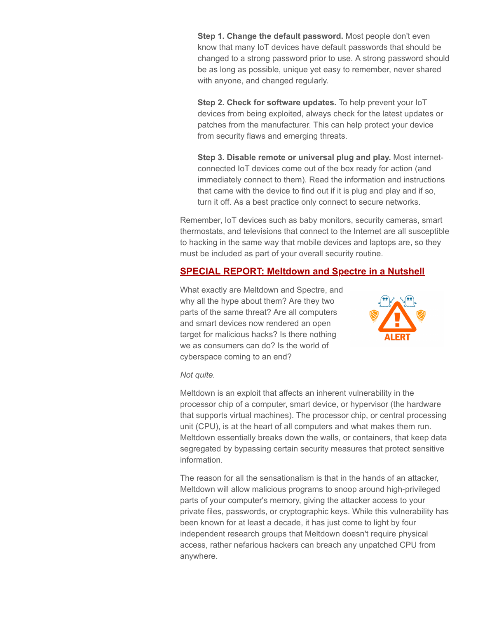**Step 1. Change the default password.** Most people don't even know that many IoT devices have default passwords that should be changed to a strong password prior to use. A strong password should be as long as possible, unique yet easy to remember, never shared with anyone, and changed regularly.

**Step 2. Check for software updates.** To help prevent your IoT devices from being exploited, always check for the latest updates or patches from the manufacturer. This can help protect your device from security flaws and emerging threats.

**Step 3. Disable remote or universal plug and play.** Most internetconnected IoT devices come out of the box ready for action (and immediately connect to them). Read the information and instructions that came with the device to find out if it is plug and play and if so, turn it off. As a best practice only connect to secure networks.

Remember, IoT devices such as baby monitors, security cameras, smart thermostats, and televisions that connect to the Internet are all susceptible to hacking in the same way that mobile devices and laptops are, so they must be included as part of your overall security routine.

## **SPECIAL REPORT: Meltdown and Spectre in a Nutshell**

What exactly are Meltdown and Spectre, and why all the hype about them? Are they two parts of the same threat? Are all computers and smart devices now rendered an open target for malicious hacks? Is there nothing we as consumers can do? Is the world of cyberspace coming to an end?



#### *Not quite.*

Meltdown is an exploit that affects an inherent vulnerability in the processor chip of a computer, smart device, or hypervisor (the hardware that supports virtual machines). The processor chip, or central processing unit (CPU), is at the heart of all computers and what makes them run. Meltdown essentially breaks down the walls, or containers, that keep data segregated by bypassing certain security measures that protect sensitive information.

The reason for all the sensationalism is that in the hands of an attacker, Meltdown will allow malicious programs to snoop around high-privileged parts of your computer's memory, giving the attacker access to your private files, passwords, or cryptographic keys. While this vulnerability has been known for at least a decade, it has just come to light by four independent research groups that Meltdown doesn't require physical access, rather nefarious hackers can breach any unpatched CPU from anywhere.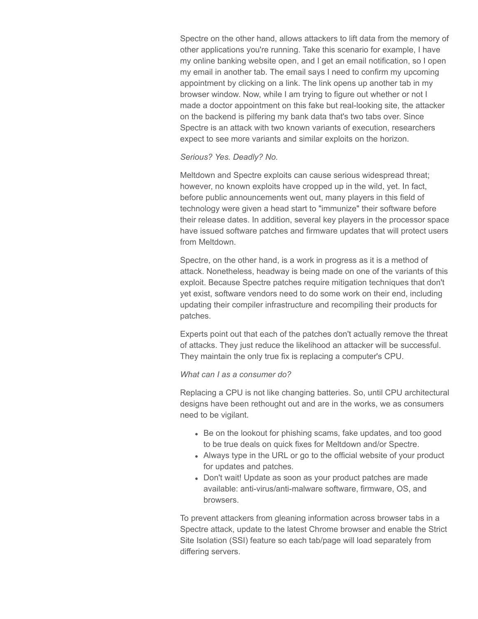Spectre on the other hand, allows attackers to lift data from the memory of other applications you're running. Take this scenario for example, I have my online banking website open, and I get an email notification, so I open my email in another tab. The email says I need to confirm my upcoming appointment by clicking on a link. The link opens up another tab in my browser window. Now, while I am trying to figure out whether or not I made a doctor appointment on this fake but real-looking site, the attacker on the backend is pilfering my bank data that's two tabs over. Since Spectre is an attack with two known variants of execution, researchers expect to see more variants and similar exploits on the horizon.

#### *Serious? Yes. Deadly? No.*

Meltdown and Spectre exploits can cause serious widespread threat; however, no known exploits have cropped up in the wild, yet. In fact, before public announcements went out, many players in this field of technology were given a head start to "immunize" their software before their release dates. In addition, several key players in the processor space have issued software patches and firmware updates that will protect users from Meltdown.

Spectre, on the other hand, is a work in progress as it is a method of attack. Nonetheless, headway is being made on one of the variants of this exploit. Because Spectre patches require mitigation techniques that don't yet exist, software vendors need to do some work on their end, including updating their compiler infrastructure and recompiling their products for patches.

Experts point out that each of the patches don't actually remove the threat of attacks. They just reduce the likelihood an attacker will be successful. They maintain the only true fix is replacing a computer's CPU.

### *What can I as a consumer do?*

Replacing a CPU is not like changing batteries. So, until CPU architectural designs have been rethought out and are in the works, we as consumers need to be vigilant.

- Be on the lookout for phishing scams, fake updates, and too good to be true deals on quick fixes for Meltdown and/or Spectre.
- Always type in the URL or go to the official website of your product for updates and patches.
- Don't wait! Update as soon as your product patches are made available: anti-virus/anti-malware software, firmware, OS, and browsers.

To prevent attackers from gleaning information across browser tabs in a Spectre attack, update to the latest Chrome browser and enable the Strict Site Isolation (SSI) feature so each tab/page will load separately from differing servers.